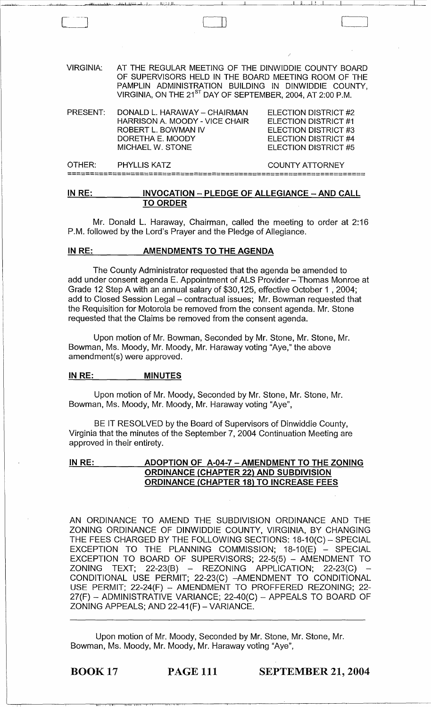| PRESENT: | DONALD L. HARAWAY - CHAIRMAN<br>HARRISON A. MOODY - VICE CHAIR | ELECTION DISTRICT #2<br>ELECTION DISTRICT #1 |
|----------|----------------------------------------------------------------|----------------------------------------------|
|          | ROBERT L. BOWMAN IV                                            | ELECTION DISTRICT #3                         |
|          | DORETHA E. MOODY                                               | ELECTION DISTRICT #4                         |
|          | <b>MICHAEL W. STONE</b>                                        | ELECTION DISTRICT #5                         |
| OTHER:   | <b>PHYLLIS KATZ</b>                                            | <b>COUNTY ATTORNEY</b>                       |
|          |                                                                |                                              |
| IN PE.   | INNOCATION                                                     | DI EDGE OF ALLEGIANCE AND CALL               |

## <u>IN RE: INVOCATION – PLEDGE OF ALLEGIANCE – AND CALL</u> TO ORDER

Mr. Donald L. Haraway, Chairman, called the meeting to order at 2:16 P.M. followed by the Lord's Prayer and the Pledge of Allegiance.

## IN RE: AMENDMENTS TO THE AGENDA

The County Administrator requested that the agenda be amended to add under consent agenda E. Appointment of ALS Provider - Thomas Monroe at Grade 12 Step A with an annual salary of \$30,125, effective October 1 , 2004; add to Closed Session Legal - contractual issues; Mr. Bowman requested that the Requisition for Motorola be removed from the consent agenda. Mr. Stone requested that the Claims be removed from the consent agenda.

Upon motion of Mr. Bowman, Seconded by Mr. Stone, Mr. Stone, Mr. Bowman, Ms. Moody, Mr. Moody, Mr. Haraway voting "Aye," the above amendment(s) were approved.

#### IN RE: MINUTES

Upon motion of Mr. Moody, Seconded by Mr. Stone, Mr. Stone, Mr. Bowman, Ms. Moody, Mr. Moody, Mr. Haraway voting "Aye",

BE IT RESOLVED by the Board of Supervisors of Dinwiddie County, Virginia that the minutes of the September 7, 2004 Continuation Meeting are approved in their entirety.

# IN RE: ADOPTION OF A-04-7 - AMENDMENT TO THE ZONING ORDINANCE (CHAPTER 22) AND SUBDIVISION ORDINANCE (CHAPTER 18) TO INCREASE FEES

AN ORDINANCE TO AMEND THE SUBDIVISION ORDINANCE AND THE ZONING ORDINANCE OF DINWIDDIE COUNTY, VIRGINIA, BY CHANGING THE FEES CHARGED BY THE FOLLOWING SECTIONS: 18-10(C) - SPECIAL  $EXCEPTION TO THE PLANNING COMMISSION; 18-10(E) - SPECIAL$ EXCEPTION TO BOARD OF SUPERVISORS; 22-5(5) - AMENDMENT TO  $ZONING$  TEXT;  $22-23(B)$  - REZONING APPLICATION;  $22-23(C)$  -CONDITIONAL USE PERMIT; 22-23(C) -AMENDMENT TO CONDITIONAL USE PERMIT; 22-24(F) - AMENDMENT TO PROFFERED REZONING; 22- 27(F) - ADMINISTRATIVE VARIANCE; 22-40(C) - APPEALS TO BOARD OF ZONING APPEALS; AND 22-41(F) - VARIANCE.

Upon motion of Mr. Moody, Seconded by Mr. Stone, Mr. Stone, Mr. Bowman, Ms. Moody, Mr. Moody, Mr. Haraway voting "Aye",

BOOK 17 PAGE 111 SEPTEMBER 21, 2004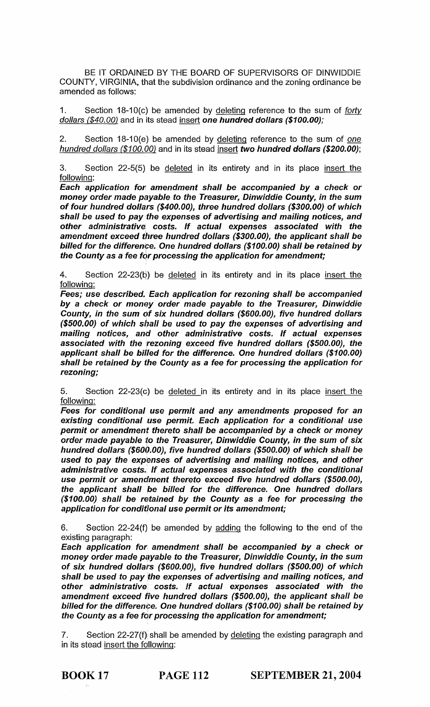BE IT ORDAINED BY THE BOARD OF SUPERVISORS OF DINWIDDIE COUNTY, VIRGINIA, that the subdivision ordinance and the zoning ordinance be amended as follows:

1. Section  $18-10(c)$  be amended by deleting reference to the sum of *forty* dollars (\$40.00) and in its stead insert one hundred dollars (\$100.00);

2. Section 18-10(e) be amended by deleting reference to the sum of one hundred dollars (\$100.00) and in its stead insert two hundred dollars (\$200.00);

3. Section 22-5(5) be deleted in its entirety and in its place insert the following:

Each application for amendment shall be accompanied by a check or money order made payable to the Treasurer, Dinwiddie County, in the sum of four hundred dollars (\$400.00), three hundred dollars (\$300.00) of which shall be used to pay the expenses of advertising and mailing notices, and other administrative costs. If actual expenses associated with the amendment exceed three hundred dollars (\$300.00), the applicant shall be billed for the difference. One hundred dollars (\$100.00) shall be retained by the County as a fee for processing the application for amendment;

4. Section  $22-23(b)$  be deleted in its entirety and in its place insert the following:

Fees; use described. Each application for rezoning shall be accompanied by a check or money order made payable to the Treasurer, Dinwiddie County, in the sum of six hundred dollars (\$600.00), five hundred dollars  $(S500.00)$  of which shall be used to pay the expenses of advertising and mailing notices, and other administrative costs. If actual expenses associated with the rezoning exceed five hundred dollars (\$500.00), the applicant shall be billed for the difference. One hundred dollars (\$100.00) shall be retained by the County as a fee for processing the application for rezoning;

5. Section 22-23(c) be deleted in its entirety and in its place insert the following:

Fees for conditional use permit and any amendments proposed for an existing conditional use permit. Each application for a conditional use permit or amendment thereto shall be accompanied by a check or money order made payable to the Treasurer, Dinwiddie County, in the sum of six hundred dollars (\$600.00), five hundred dollars (\$500.00) of which shall be used to pay the expenses of advertising and mailing notices, and other administrative costs. If actual expenses associated with the conditional use permit or amendment thereto exceed five hundred dollars (\$500.00), the applicant shall be billed for the difference. One hundred dollars (\$100.00) shall be retained by the County as a fee for processing the application for conditional use permit or its amendment;

6. Section 22-24(f) be amended by adding the following to the end of the existing paragraph:

Each application for, amendment shall be accompanied by a check or money order made payable to the Treasurer, Dinwiddie County, in the sum of six hundred dollars (\$600.00), five hundred dollars (\$500.00) of which shall be used to pay the expenses of advertising and mailing notices, and other administrative costs. If actual expenses associated with the amendment exceed five hundred dollars (\$500.00), the applicant shall be billed for the difference. One hundred dollars (\$100.00) shall be retained by the County as a fee for processing the application for amendment;

7. Section  $22-27(f)$  shall be amended by deleting the existing paragraph and in its stead insert the following: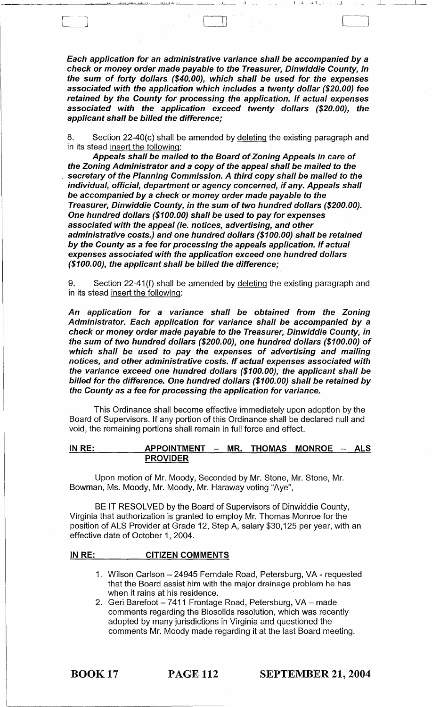Each application for an administrative variance shall be accompanied by a check or money order made payable to the Treasurer, Dinwiddie County, in the sum of forty dollars (\$40.00), which shall be used for the expenses associated with the application which includes a twenty dollar (\$20.00) fee retained by the County for processing the application. If actual expenses associated with the application exceed twenty dollars (\$20.00), the applicant shall be billed the difference;

, . I..... ..ll.;.u..:.11 UtJ..L.....lo.\_-'LI~\_II;...L.....L.JJ'''-': '~' \_\_\_ ~ \_\_ "'-----\_\_\_ ~~I ~I'~I-'-' -,I,~~ \_\_\_ ~ \_\_\_ -,---

 $\llbracket$ 

8. Section 22-40(c) shall be amended by deleting the existing paragraph and in its stead insert the following:

Appeals shall be mailed to the Board of Zoning Appeals in care of the Zoning Administrator and a copy of the appeal shall be mailed to the secretary of the Planning Commission. A third copy shall be mailed to the individual, official, department or agency concerned, if any. Appeals shall be accompanied by a check or money order made payable to the Treasurer, Dinwiddie County, in the sum of two hundred dollars (\$200.00). One hundred dollars (\$100.00) shall be used to pay for expenses associated with the appeal (ie. notices, advertising, and other administrative costs.) and one hundred dollars (\$100.00) shall be retained by the County as a fee for processing the appeals application. If actual expenses associated with the application exceed one hundred dollars (\$100.00), the applicant shall be billed the difference;

Section 22-41(f) shall be amended by deleting the existing paragraph and in its stead insert the following:

An application for a variance shall be obtained from the Zoning Administrator. Each application for variance shall be accompanied by a check or money order made payable to the Treasurer, Dinwiddie County, in the sum of two hundred dollars (\$200.00), one hundred dollars (\$100.00) of which shall be used to pay the expenses of advertising and mailing notices, and other administrative costs. If actual expenses associated with the variance exceed one hundred dollars (\$100.00), the applicant shall be billed for the difference. One hundred dollars (\$100.00) shall be retained by the County as a fee for processing the application for variance.

This Ordinance shall become effective immediately upon adoption by the Board of Supervisors. If any portion of this Ordinance shall be declared null and void, the remaining portions shall remain in full force and effect.

 $IN RE:$  APPOINTMENT - MR. THOMAS MONROE - ALS PROVIDER

Upon motion of Mr. Moody, Seconded by Mr. Stone, Mr. Stone, Mr. Bowman, Ms. Moody, Mr. Moody, Mr. Haraway voting "Aye",

BE IT RESOLVED by the Board of Supervisors of Dinwiddie County, Virginia that authorization is granted to employ Mr. Thomas Monroe for the position of ALS Provider at Grade 12, Step A, salary \$30,125 per year, with an effective date of October 1, 2004.

#### INRE: CITIZEN COMMENTS

- 1. Wilson Carlson 24945 Ferndale Road, Petersburg, VA requested that the Board assist him with the major drainage problem he has when it rains at his residence.
- 2. Geri Barefoot 7411 Frontage Road, Petersburg, VA made comments regarding the Biosolids resolution, which was recently adopted by many jurisdictions in Virginia and questioned the comments Mr. Moody made regarding it at the last Board meeting.

BOOK 17 PAGE 112 SEPTEMBER 21, 2004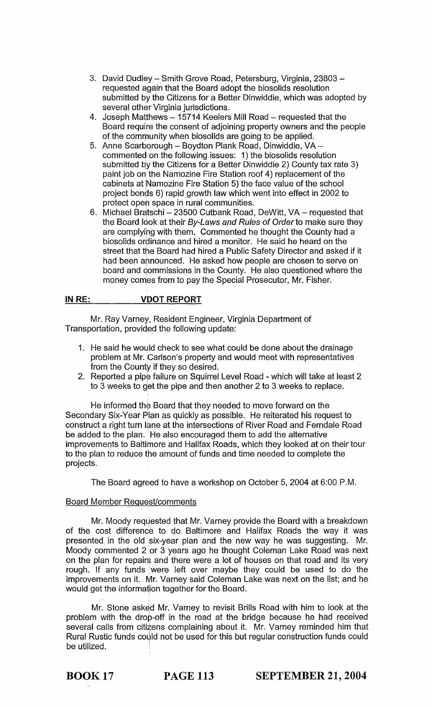- 3. David Dudley Smith Grove Road, Petersburg, Virginia, 23803 requested again that the Board adopt the biosolids resolution submitted by the Citizens for a Better Dinwiddie, which was adopted by several other Virginia jurisdictions.
- 4. Joseph Matthews 15714 Keelers Mill Road requested that the Board require the consent of adjoining property owners and the people of the community when biosolids are going to be applied.
- 5. Anne Scarborough Boydton Plank Road, Dinwiddie, VA commented on the following issues: 1) the biosolids resolution submitted by the Citizens for a Better Dinwiddie 2) County tax rate 3) paint job on the Namozine Fire Station roof 4) replacement of the cabinets at Namozine Fire Station 5) the face value of the school project bonds 6) rapid growth law which went into effect in 2002 to protect open space in rural communities.
- 6. Michael Bratschi 23500 Cutbank Road, DeWitt, VA requested that the Board look at their By-Laws and Rules of Order to make sure they are complying with them. Commented he thought the County had a biosolids ordinance and hired a monitor. He said he heard on the street that the Board had hired a Public Safety Director and asked if it had been announced. He asked how people are chosen to serve on board and qommissions in the County. He also questioned where the money comes from to pay the Special Prosecutor, Mr. Fisher.

#### **IN RE: VDOT REPORT**

Mr. Ray Varney, Resident Engineer, Virginia Department of Transportation, provided the following update:

- 1. He said he would check to see what could be done about the drainage problem at Mr. Carlson's property and would meet with representatives from the County if they so desired.
- 2. Reported a pipe failure on Squirrel Level Road which will take at least 2 to 3 weeks to get the pipe and then another 2 to 3 weeks to replace.

He informed the Board that they needed to move forward on the Secondary Six-Year Plan as quickly as possible. He reiterated his request to construct a right turn lane at the intersections of River Road and Ferndale Road be added to the plan. He also encouraged them to add the alternative improvements to Baltimore and Halifax Roads, which they looked at on their tour to the plan to reduce the amount of funds and time needed to complete the projects.

The Board agreed to have a workshop on October 5,2004 at 6:00 P.M.

# Board Member Request/comments

Mr. Moody requested that Mr. Varney provide the Board with a breakdown of the cost difference to do Baltimore and Halifax Roads the way it was presented in the old six-year plan and the new way he was suggesting. Mr. Moody commented 2 or 3 years ago he thought Coleman Lake Road was next on the plan for repairs and there were a lot of houses on that road and its very rough. If any funds were left over maybe they could be used to do the improvements on it. Mr. Varney said Coleman Lake was next on the list; and he would get the information together for the Board.

Mr. Stone asked Mr. Varney to revisit Brills Road with him to look at the problem with the drop-off in the road at the bridge because he had received several calls from citizens complaining about it. Mr. Varney reminded him that Rural Rustic funds could not be used for this but regular construction funds could be utilized.

BOOK 17 **PAGE 113 SEPTEMBER 21, 2004**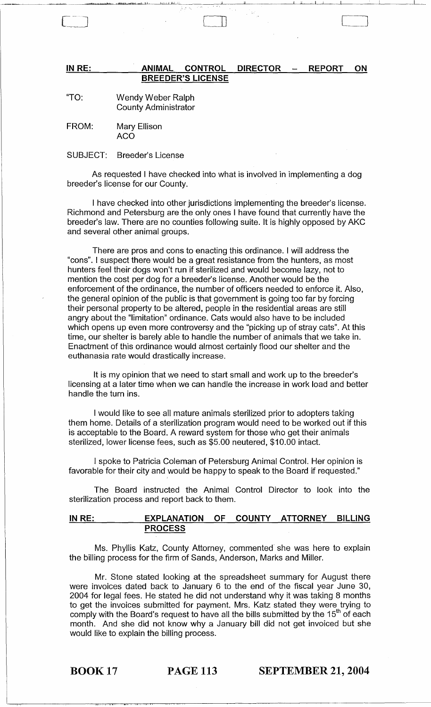## IN RE: ANIMAL CONTROL DIRECTOR - REPORT ON **BREEDER'S LICENSE**

LJJ LJ

"TO: Wendy Weber Ralph County Administrator

FROM: Mary Ellison ACO

SUBJECT: Breeder's License

As requested I have checked into what is involved in implementing a dog breeder's license for our County.

I have checked into other jurisdictions implementing the breeder's license. Richmond and Petersburg are the only ones I have found that currently have the breeder's law. There are no counties following suite. It is highly opposed by AKC and several other animal groups.

There are pros and cons to enacting this ordinance. I will address the "cons". I suspect there would be a great resistance from the hunters, as most hunters feel their dogs won't run if sterilized and would become lazy, not to mention the cost per dog for a breeder's license. Another would be the enforcement of the ordinance, the number of officers needed to enforce it. Also, the general opinion of the public is that government is going too far by forcing their personal property to be altered, people in the residential areas are still angry about the "limitation" ordinance. Cats would also have to be included which opens up even more controversy and the "picking up of stray cats". At this time, our shelter is barely able to handle the number of animals that we take in. Enactment of this ordinance would almost certainly flood our shelter and the euthanasia rate would drastically increase.

It is my opinion that we need to start small and work up to the breeder's licensing at a later time when we can handle the increase in work load and better handle the turn ins.

I would like to see all mature animals sterilized prior to adopters taking them home. Details of a sterilization program would need to be worked out if this is acceptable to the Board. A reward system for those who get their animals sterilized, lower license fees, such as \$5.00 neutered, \$10.00 intact.

I spoke to Patricia Coleman of Petersburg Animal Control. Her opinion is favorable for their city and would be happy to speak to the Board if requested."

The Board instructed the Animal Control Director to look into the sterilization process and report back to them.

# **IN RE: EXPLANATION OF COUNTY ATTORNEY BILLING PROCESS**

Ms. Phyllis Katz, County Attorney, commented" she was here to explain the billing process for the firm of Sands, Anderson, Marks and Miller.

Mr. Stone stated looking at the spreadsheet summary for August there were invoices dated back to January 6 to the end of the fiscal year June 30, 2004 for legal fees. He stated he did not understand why it was taking 8 months to get the invoices submitted for payment. Mrs. Katz stated they were trying to comply with the Board's request to have all the bills submitted by the 15<sup>th</sup> of each month. And she did not know why a January bill did not get invoiced but she would like to explain the billing process.

BOOK 17 **PAGE 113 SEPTEMBER 21, 2004**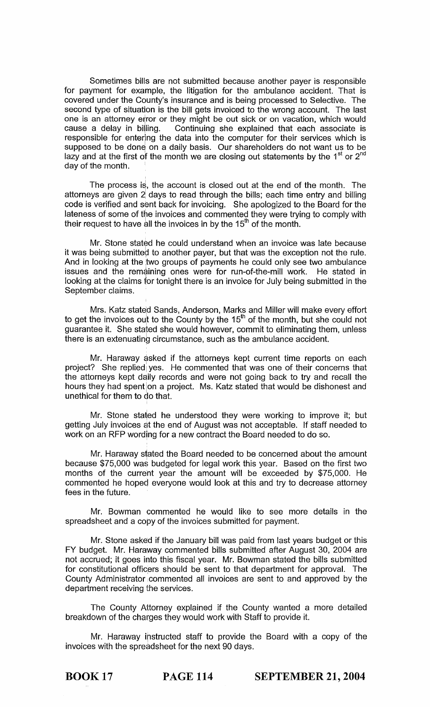Sometimes bills are not submitted because another payer is responsible for payment for example, the litigation for the ambulance accident. That is covered under the County's insurance and is being processed to Selective. The second type of situation is the bill gets invoiced to the wrong account. The last one is an attorney error or they might be out sick or on vacation, which would cause a delay in billing. Continuing she explained that each associate is responsible for entering the data into the computer for their services which is supposed to be done on a daily basis. Our shareholders do not want us to be lazy and at the first of the month we are closing out statements by the  $1<sup>st</sup>$  or  $2<sup>nd</sup>$ day of the month.

The process is, the account is closed out at the end of the month. The attorneys are given 2 days to read through the bills; each time entry and billing code is verified and sent back for invoicing. She apologized to the Board for the lateness of some of the invoices and commented they were trying to comply with their request to have all the invoices in by the 15<sup>th</sup> of the month.

Mr. Stone stated he could understand when an invoice was late because it was being submitted to another payer, but that was the exception not the rule. And in looking at the two groups of payments he could only see two ambulance issues and the remaining ones were for run-of-the-mill work. He stated in looking at the claims for tonight there is an invoice for July being submitted in the September claims.

Mrs. Katz stated Sands, Anderson, Marks and Miller will make every effort to get the invoices out to the County by the  $15<sup>th</sup>$  of the month, but she could not guarantee it. She stated she would however, commit to eliminating them, unless there is an extenuating circumstance, such as the ambulance accident.

Mr. Haraway asked if the attorneys kept current time reports on each project? She replied yes. He commented that was one of their concerns that the attorneys kept daily records and were not going back to try and recall the hours they had spent on a project. Ms. Katz stated that would be dishonest and unethical for them to do that.

Mr. Stone stated he understood they were working to improve it; but getting July invoices at the end of August was not acceptable. If staff needed to work on an RFP wording for a new contract the Board needed to do so.

Mr. Haraway stated the Board needed to be concerned about the amount because \$75,000 was budgeted for legal work this year. Based on the first two months of the current year the amount will be exceeded by \$75,000. He commented he hopecl everyone would look at this and try to decrease attorney fees in the future.

Mr. Bowman commented he would like to see more details in the spreadsheet and a copy of the invoices submitted for payment.

Mr. Stone asked if the January bill was paid from last years budget or this FY budget. Mr. Haraway commented bills submitted after August 30, 2004 are not accrued; it goes imto this fiscal year. Mr. Bowman stated the bills submitted for constitutional officers should be sent to that department for approval. The County Administrator commented all invoices are sent to and approved by the department receiving the services.

The County Attorney explained if the County wanted a more detailed breakdown of the charges they would work with Staff to provide it.

Mr. Haraway instructed staff to provide the Board with a copy of the invoices with the spreadsheet for the next 90 days.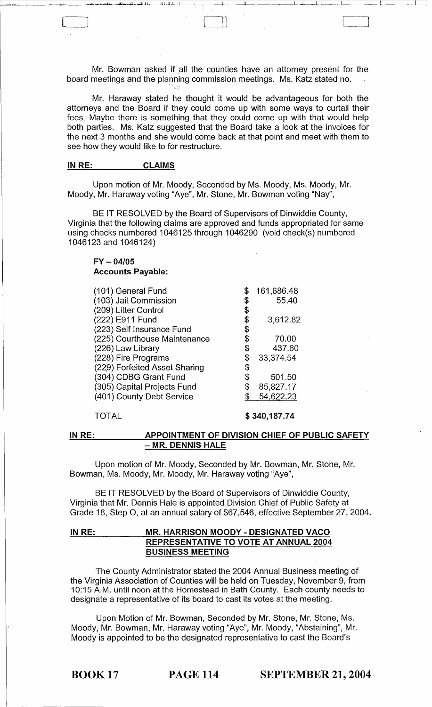Mr. Bowman asked if all the counties have an attorney present for the board meetings and the planning commission meetings. Ms. Katz stated no.

 $\Box$ 

Mr. Haraway stated he thought it would be advantageous for both the attorneys and the Board if they could come up with some ways to curtail their fees. Maybe there is something that they could come up with that would help both parties. Ms. Katz suggested that the Board take a look at the invoices for the next 3 months and she would come back at that point and meet with them to see how they would like to for restructure.

#### IN RE: CLAIMS

Upon motion of Mr. Moody, Seconded by Ms. Moody, Ms. Moody, Mr. Moody, Mr. Haraway voting "Aye", Mr. Stone, Mr. Bowman voting "Nay",

BE IT RESOLVED by the Board of Supervisors of Dinwiddie County, Virginia that the following claims are approved and funds appropriated for same using checks numbered 1046125 through 1046290 (void check(s) numbered 1046123 and 1046124)

## FY - *04/05*  Accounts Payable:

| (101) General Fund            |    | 161,686.48 |
|-------------------------------|----|------------|
| (103) Jail Commission         |    | 55.40      |
| (209) Litter Control          |    |            |
| (222) E911 Fund               | \$ | 3,612.82   |
| (223) Self Insurance Fund     |    |            |
| (225) Courthouse Maintenance  |    | 70.00      |
| (226) Law Library             | \$ | 437.60     |
| (228) Fire Programs           | \$ | 33,374.54  |
| (229) Forfeited Asset Sharing |    |            |
| (304) CDBG Grant Fund         | \$ | 501.50     |
| (305) Capital Projects Fund   | S  | 85,827.17  |
| (401) County Debt Service     |    | 54,622.23  |
|                               |    |            |

TOTAL

\$ 340,187.74

#### IN RE: APPOINTMENT OF DIVISION CHIEF OF PUBLIC SAFETY - MR. DENNIS HALE

Upon motion of Mr. Moody, Seconded by Mr. Bowman, Mr. Stone, Mr. Bowman, Ms. Moody, Mr. Moody, Mr. Haraway voting "Aye",

BE IT RESOLVED by the Board of Supervisors of Dinwiddie County, Virginia that Mr. Dennis Hale is appointed Division Chief of Public Safety at Grade 18, Step 0, at an annual salary of \$67,546, effective September 27,2004.

## IN RE: MR. HARRISON MOODY - DESIGNATED VACO REPRESENTATIVE TO VOTE AT ANNUAL 2004 BUSINESS MEETING

The County Administrator stated the 2004 Annual Business meeting of the Virginia Association of Counties will be held on Tuesday, November 9, from 10:15 A.M. until noon at the Homestead in Bath County. Each county needs to designate a representative of its board to cast its votes at the meeting.

Upon Motion of Mr. Bowman, Seconded by Mr. Stone, Mr. Stone, Ms. Moody, Mr. Bowman, Mr. Haraway voting "Aye", Mr. Moody, "Abstaining", Mr. Moody is appointed to be the designated representative to cast the Board's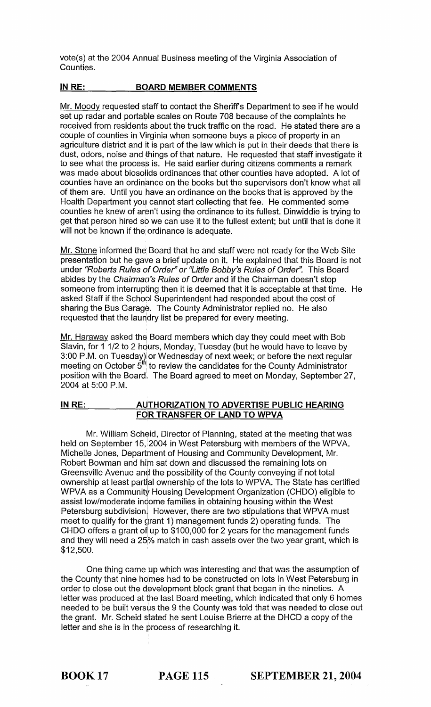vote(s) at the 2004 Annual Business meeting of the Virginia Association of Counties.

# **INRE: BOARD MEMBER COMMENTS**

Mr. Moody requested staff to contact the Sheriffs Department to see if he would set up radar and portable scales on Route 708 because of the complaints he received from residents about the truck traffic on the road. He stated there are a couple of counties in Virginia when someone buys a piece of property in an agriculture district and it is part of the law which is put in their deeds that there is dust, odors, noise and things of that nature. He requested that staff investigate it to see what the process is. He said earlier during citizens comments a remark was made about biosolids ordinances that other counties have adopted. A lot of counties have an ordinance on the books but the supervisors don't know what all of them are. Until you have an ordinance on the books that is approved by the Health Department you cannot start collecting that fee. He commented some counties he knew of aren't using the ordinance to its fullest. Dinwiddie is trying to get that person hired so we can use it to the fullest extent; but until that is done it will not be known if the ordinance is adequate.

Mr. Stone informed the Board that he and staff were not ready for the Web Site presentation but he gave a brief update on it. He explained that this Board is not under "Roberts Rules of Order" or "Little Bobby's Rules of Order". This Board abides by the Chairman's Rules of Order and if the Chairman doesn't stop someone from interrupting then it is deemed that it is acceptable at that time. He asked Staff if the Schopl Superintendent had responded about the cost of sharing the Bus Garage. The County Administrator replied no. He also requested that the laundry list be prepared for every meeting.

Mr. Haraway asked the Board members which day they could meet with Bob Slavin, for 1 1/2 to 2 hours, Monday, Tuesday (but he would have to leave by 3:00 P.M. on Tuesday) or Wednesday of next week; or before the next regular meeting on October  $\ddot{5}^{th}$  to review the candidates for the County Administrator position with the Board<sup>!</sup> The Board agreed to meet on Monday, September 27, 2004 at 5:00 P.M.

# **IN RE: AUTHORIZATION TO ADVERTISE PUBLIC HEARING FOR TRANSFER OF LAND TO WPVA**

Mr. William Scheid, Director of Planning, stated at the meeting that was held on September 15, 2004 in West Petersburg with members of the WPVA, Michelle Jones, Department of Housing and Community Development, Mr. Robert Bowman and him sat down and discussed the remaining lots on Greensville Avenue and the possibility of the County conveying if not total ownership at least partial ownership of the lots to WPVA. The State has certified WPVA as a Community Housing Development Organization (CHDO) eligible to assist low/moderate income families in obtaining housing within the West Petersburg subdivision. However, there are two stipulations that WPVA must meet to qualify for the grant 1) management funds 2) operating funds. The CHDO offers a grant of up to  $$100,000$  for 2 years for the management funds and they will need a 25% match in cash assets over the two year grant, which is  $$12,500.$ 

One thing came up which was interesting and that was the assumption of the County that nine hdmes had to be constructed on lots in West Petersburg in order to close out the development block grant that began in the nineties. A letter was produced at the last Board meeting, which indicated that only 6 homes needed to be built versus the 9 the County was told that was needed to close out the grant. Mr. Scheid stated he sent Louise Brierre at the DHCD a copy of the letter and she is in the process of researching it.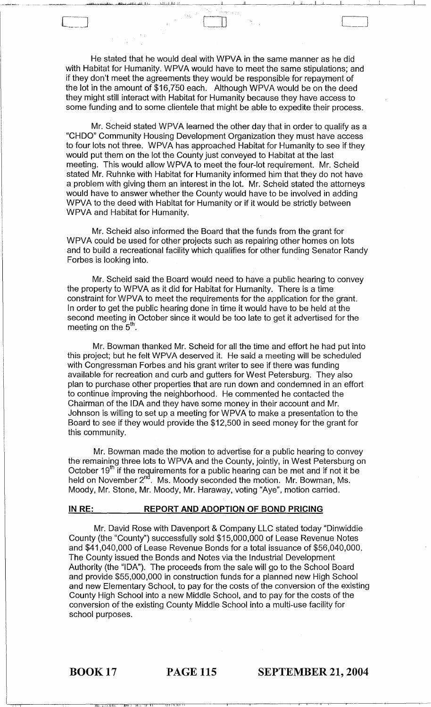He stated that he would deal with WPVA in the same manner as he did with Habitat for Humanity. WPVA would have to meet the same stipulations; and if they don't meet the agreements they would be responsible for repayment of the lot in the amount of \$16,750 each. Although WPVA would be on the deed they might still interact with Habitat for Humanity because they have access to some funding and to some clientele that might be able to expedite their process.

,WI' LL"j..I.l!. III.!lbJ "l,;L;.j Ui U~l,~J..JL...;.L.iLLl--LLi I \_\_\_ -.-J'---\_-"'-\_\_\_ ~II\_\_\_\_\_'LI ~,-I ---,-I ~--.L..-\_\_ ~--"---\_\_ \_\_'\_\_\_\_\_

 $\sum_{i=1}^n\frac{1}{i}$ 

Mr. Scheid stated WPVA learned the other day that in order to qualify as a "CHDO" Community Housing Development Organization they must have access to four lots not three. WPVA has approached Habitat for Humanity to see if they would put them on the lot the County just conveyed to Habitat at the last meeting. This would allow WPVA to meet the four-lot requirement. Mr. Scheid stated Mr. Ruhnke with Habitat for Humanity informed him that they do not have a problem with giving them an interest in the lot. Mr. Scheid stated the attorneys would have to answer whether the County would have to be involved in adding WPVA to the deed with Habitat for Humanity or if it would be strictly between WPVA and Habitat for Humanity.

Mr. Scheid also informed the Board that the funds from the grant for WPVA could be used for other projects such as repairing other homes on lots and to build a recreational facility which qualifies for other funding Senator Randy Forbes is looking into.

Mr. Scheid said the Board would need to have a public hearing to convey the property to WPVA as it did for Habitat for Humanity. There is a time constraint for WPVA to meet the requirements for the application for the grant. In order to get the public hearing done in time it would have to be held at the second meeting in October since it would be too late to get it advertised for the meeting on the  $5<sup>th</sup>$ .

Mr. Bowman thanked Mr. Scheid for all the time and effort he had put into this project; but he felt WPVA deserved it. He said a meeting will be scheduled with Congressman Forbes and his grant writer to see if there was funding available for recreation and curb and gutters for West Petersburg. They also plan to purchase other properties that are run down and condemned in an effort to continue improving the neighborhood. He commented he contacted the Chairman of the IDA and they have some money in their account and Mr. Johnson is willing to set up a meeting for WPVA to make a presentation to the Board to see if they would provide the \$12,500 in seed money for the grant for this community.

Mr. Bowman made the motion to advertise for a public hearing to convey the remaining three lots to WPVA and the County, jointly, in West Petersburg on October  $19<sup>th</sup>$  if the requirements for a public hearing can be met and if not it be held on November 2<sup>nd</sup>. Ms. Moody seconded the motion. Mr. Bowman, Ms. Moody, Mr. Stone, Mr. Moody, Mr. Haraway, voting "Aye", motion carried.

#### **INRE: REPORT AND ADOPTION OF BOND PRICING**

Mr. David Rose with Davenport & Company LLC stated today "Dinwiddie County (the "County") successfully sold \$15,000,000 of Lease Revenue Notes and \$41,040,000 of Lease Revenue Bonds for a total issuance of \$56,040,000. The County issued the Bonds and Notes via the Industrial Development Authority (the "IDA"). The proceeds from the sale will go to the School Board and provide \$55,000,000 in construction funds for a planned new High School and new Elementary School, to pay for the costs of the conversion of the existing County High School into a new Middle School, and to pay for the costs of the conversion of the existing County Middle School into a multi-use facility for school purposes.

——

BOOK 17 **PAGE 115 SEPTEMBER 21, 2004**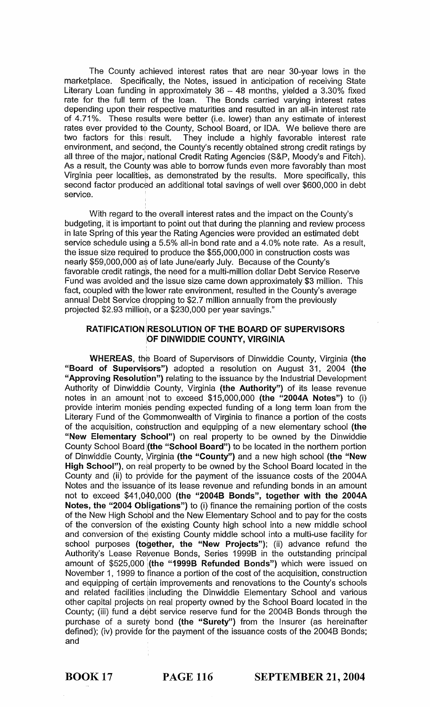The County achieved interest rates that are near 30-year lows in the marketplace. Specifically, the Notes, issued in anticipation of receiving State Literary Loan funding in approximately  $36 - 48$  months, yielded a  $3.30\%$  fixed rate for the full term of the loan. The Bonds carried varying interest rates depending upon their respective maturities and resulted in an all-in interest rate of 4.71%. These results were better (i.e. lower) than any estimate of interest rates ever provided to the County, School Board, or IDA. We believe there are two factors for this result. They include a highly favorable interest rate They include a highly favorable interest rate environment, and second, the County's recently obtained strong credit ratings by all three of the major, national Credit Rating Agencies (S&P, Moody's and Fitch). As a result, the County was able to borrow funds even more favorably than most Virginia peer localities, as demonstrated by the results. More specifically, this second factor produced an additional total savings of well over \$600,000 in debt service.

With regard to the overall interest rates and the impact on the County's budgeting, it is important to point out that during the planning and review process in late Spring of this year the Rating Agencies were provided an estimated debt service schedule using a 5.5% all-in bond rate and a 4.0% note rate. As a result, the issue size required to produce the \$55,000,000 in construction costs was nearly \$59,000,000 as of late June/early July. Because of the County's favorable credit ratings, the need for a multi-million dollar Debt Service Reserve Fund was avoided and the issue size came down approximately \$3 million. This fact, coupled with the lower rate environment, resulted in the County's average annual Debt Service dropping to \$2.7 million annually from the previously projected \$2.93 million, or a \$230,000 per year savings."

# RATIFICATION RESOLUTION OF THE BOARD OF SUPERVISORS OF DINWIDDIE COUNTY, VIRGINIA

WHEREAS, the Board of Supervisors of Dinwiddie County, Virginia (the "Board of Supervisors") adopted a resolution on August 31, 2004 (the "Approving Resolution") relating to the issuance by the Industrial Development Authority of Dinwiddie County, Virginia (the Authority") of its lease revenue notes in an amount not to exceed  $$15,000,000$  (the "2004A Notes") to (i) provide interim monies pending expected funding of a long term loan from the Literary Fund of the Commonwealth of Virginia to finance a portion of the costs of the acquisition, construction and equipping of a new elementary school (the "New Elementary School") on real property to be owned by the Dinwiddie County School Board (the "School Board") to be located in the northern portion of Dinwiddie County, Virginia (the "County") and a new high school (the "New High School"), on real property to be owned by the School Board located in the County and (ii) to provide for the payment of the issuance costs of the 2004A Notes and the issuance of its lease revenue and refunding bonds in an amount not to exceed \$41,040,000 (the "2004B Bonds", together with the 2004A Notes, the "2004 Obligations") to (i) finance the remaining portion of the costs of the New High School and the New Elementary School and to pay for the costs of the conversion of the existing County high school into a new middle school and conversion of the existing County middle school into a multi-use facility for school purposes (together, the "New Projects"); (ii) advance refund the Authority's Lease Reyenue Bonds, Series 1999B in the outstanding principal amount of \$525,000 (the "1999B Refunded Bonds") which were issued on November 1, 1999 to finance a portion of the cost of the acquisition, construction and equipping of certain improvements and renovations to the County's schools and related facilities iincluding the Dinwiddie Elementary School and various other capital projects on real property owned by the School Board located in the County; (iii) fund a debt service reserve fund for the 2004B Bonds through the purchase of a surety bond (the "Surety") from the Insurer (as hereinafter defined); (iv) provide for the payment of the issuance costs of the 2004B Bonds; and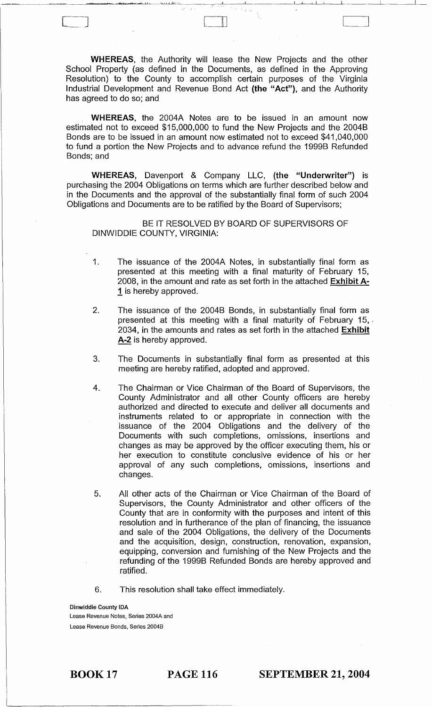WHEREAS, the Authority will lease the New Projects and the other School Property (as defined in the Documents, as defined in the Approving Resolution) to the County to accomplish certain purposes of the Virginia Industrial Development and Revenue Bond Act (the "Act"), and the Authority has agreed to do so; and

LJJ

WHEREAS, the 2004A Notes are to be issued in an amount now estimated not to exceed \$15,000,000 to fund the New Projects and the 2004B Bonds are to be issued in an amount now estimated not to exceed \$41,040,000 to fund a portion the New Projects and to advance refund the 1999B Refunded Bonds; and

WHEREAS, Davenport & Company LLC, (the "Underwriter") is purchasing the 2004 Obligations on terms which are further described below and in the Documents and the approval of the substantially final form of such 2004 Obligations and Documents are to be ratified by the Board of Supervisors;

BE IT RESOLVED BY BOARD OF SUPERVISORS OF DINWIDDIE COUNTY, VIRGINIA:

- 1. The issuance of the 2004A Notes, in substantially final form as presented at this meeting with a final maturity of February 15, 2008, in the amount and rate as set forth in the attached Exhibit A-1 is hereby approved.
- 2. The issuance of the 2004B Bonds, in substantially final form as presented at this meeting with a final maturity of February 15,. 2034, in the amounts and rates as set forth in the attached Exhibit A-2 is hereby approved.
- 3. The Documents in substantially final form as presented at this meeting are hereby ratified, adopted and approved.
- 4. The Chairman or Vice Chairman of the Board of Supervisors, the County Administrator and all other County officers are hereby authorized and directed to execute and deliver all documents and instruments related to or appropriate in connection with the issuance of the 2004 Obligations and the delivery of the Documents with such completions, omissions, insertions and changes as may be approved by the officer executing them, his or her execution to constitute conclusive evidence of his or her approval of any such completions, omissions, insertions and changes.
- 5. All other acts of the Chairman or Vice Chairman of the Board of Supervisors, the County Administrator and other officers of the County that are in conformity with the purposes and intent of this resolution and in furtherance of the plan of financing, the issuance and sale of the 2004 Obligations, the delivery of the Documents and the acquisition, design, construction, renovation, expansion, equipping, conversion and furnishing of the New Projects and the refunding of the 1999B Refunded Bonds are hereby approved and ratified.
- 6. This resolution shall take effect immediately.

Dinwiddie County IDA Lease Revenue Notes, Series 2004A and Lease Revenue Bonds, Series 2004B

BOOK 17 PAGE 116 SEPTEMBER 21, 2004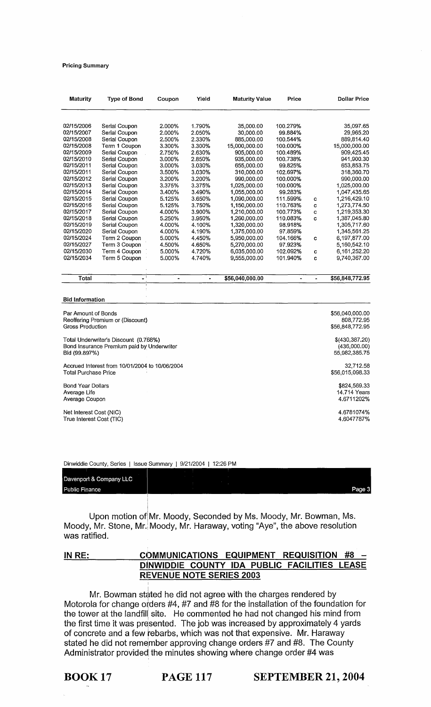#### Pricing Summary

| <b>Dollar Price</b> |    | Price    | <b>Maturity Value</b> | Yield  | Coupon | <b>Type of Bond</b> | <b>Maturity</b> |
|---------------------|----|----------|-----------------------|--------|--------|---------------------|-----------------|
| 35,097.65           |    | 100.279% | 35,000.00             | 1.790% | 2.000% | Serial Coupon       | 02/15/2006      |
| 29.965.20           |    | 99.884%  | 30,000.00             | 2.050% | 2.000% | Serial Coupon       | 02/15/2007      |
| 889,814.40          |    | 100.544% | 885.000.00            | 2.330% | 2.500% | Serial Coupon       | 02/15/2008      |
| 15,000,000.00       |    | 100.000% | 15,000,000.00         | 3.300% | 3.300% | Term 1 Coupon       | 02/15/2008      |
| 909.425.45          |    | 100.489% | 905.000.00            | 2.630% | 2.750% | Serial Coupon       | 02/15/2009      |
| 941.900.30          |    | 100.738% | 935,000.00            | 2.850% | 3.000% | Serial Coupon       | 02/15/2010      |
| 653,853.75          |    | 99.825%  | 655,000.00            | 3.030% | 3.000% | Serial Coupon       | 02/15/2011      |
| 318,360.70          |    | 102.697% | 310,000.00            | 3.030% | 3.500% | Serial Coupon       | 02/15/2011      |
| 990,000.00          |    | 100.000% | 990,000.00            | 3.200% | 3.200% | Serial Coupon       | 02/15/2012      |
| 1,025,000.00        |    | 100.000% | 1,025,000.00          | 3.375% | 3.375% | Serial Coupon       | 02/15/2013      |
| 1,047,435.65        |    | 99.283%  | 1,055,000.00          | 3.490% | 3.400% | Serial Coupon       | 02/15/2014      |
| 1,216,429.10        | C. | 111.599% | 1,090,000,00          | 3.650% | 5.125% | Serial Coupon       | 02/15/2015      |
| 1,273,774.50        | C  | 110.763% | 1,150,000.00          | 3.750% | 5.125% | Serial Coupon       | 02/15/2016      |
| 1.219.353.30        | C  | 100.773% | 1.210.000.00          | 3.900% | 4.000% | Serial Coupon       | 02/15/2017      |
| 1,387,045.80        | C  | 110.083% | 1,260,000.00          | 3.950% | 5.250% | Serial Coupon       | 02/15/2018      |
| 1,305,717.60        |    | 98.918%  | 1,320,000.00          | 4.100% | 4.000% | Serial Coupon       | 02/15/2019      |
| 1,345,561.25        |    | 97.859%  | 1,375,000.00          | 4.190% | 4.000% | Serial Coupon       | 02/15/2020      |
| 6.197.877.00        | C  | 104.166% | 5,950,000.00          | 4.450% | 5.000% | Term 2 Coupon       | 02/15/2024      |
| 5,160,542.10        |    | 97.923%  | 5,270,000.00          | 4.650% | 4.500% | Term 3 Coupon       | 02/15/2027      |
| 6,161,252.20        | C  | 102.092% | 6.035.000.00          | 4.720% | 5.000% | Term 4 Coupon       | 02/15/2030      |
| 9,740,367.00        | C  | 101.940% | 9,555,000.00          | 4.740% | 5.000% | Term 5 Coupon       | 02/15/2034      |
| \$56.848.772.95     |    |          | \$56,040,000.00       |        |        |                     | Total           |

#### Bid Information

| Par Amount of Bonds                            | \$56,040,000.00 |
|------------------------------------------------|-----------------|
| Reoffering Premium or (Discount)               | 808,772.95      |
| Gross Production                               | \$56,848,772,95 |
| Total Underwriter's Discount (0.768%)          | \$(430,387.20)  |
| Bond Insurance Premium paid by Underwriter     | (436,000.00)    |
| Bid (99.897%)                                  | 55,982,385.75   |
| Accrued Interest from 10/01/2004 to 10/06/2004 | 32,712.58       |
| <b>Total Purchase Price</b>                    | \$56,015,098.33 |
| <b>Bond Year Dollars</b>                       | \$824,569.33    |
| Average Life                                   | 14.714 Years    |
| Average Coupon                                 | 4.6711202%      |
| Net Interest Cost (NIC)                        | 4.6781074%      |
| True Interest Cost (TIC)                       | 4.6047787%      |

Dinwiddie County, Series | Issue Summary | 9/21/2004 | 12:26 PM

I

I

| <b>Public Finance</b>   | Page. |
|-------------------------|-------|
| Davenport & Company LLC |       |
|                         |       |
|                         |       |

I Upon motion ofiMr. Moody, Seconded by Ms. Moody, Mr. Bowman, Ms. Moody, Mr. Stone, Mr. Moody, Mr. Haraway, voting "Aye", the above resolution was ratified.

# **IN RE: CC:)MMUNICATIONS EQUIPMENT REQUISITION #8 - DI1NWIDDIE COUNTY IDA PUBLIC FACILITIES LEASE REVENUE NOTE SERIES 2003**

Mr. Bowman stated he did not agree with the charges rendered by Motorola for change orders  $#4, #7$  and  $#8$  for the installation of the foundation for the tower at the landfill site. He commented he had not changed his mind from the first time it was presented. The job was increased by approximately 4 yards of concrete and a few rebarbs, which was not that expensive. Mr. Haraway stated he did not remember approving change orders  $#7$  and  $#8$ . The County Administrator provided the minutes showing where change order #4 was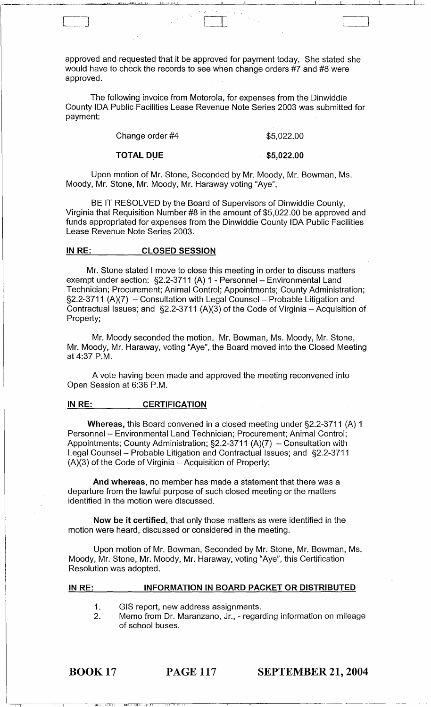approved and requested that it be approved for payment today. She stated she would have to check the records to see when change orders #7 and #8 were approved.

The following invoice from Motorola, for expenses from the Dinwiddie County IDA Public Facilities Lease Revenue Note Series 2003 was submitted for payment:

| Change order #4 | \$5,022.00 |
|-----------------|------------|
|                 |            |

TOTAL DUE

c .. J [\_1J

\$5,022.00

للماء المسافرة المسافرة المسافرة العاملية المسافرة المسافرة المسافرة المسافرة المسافرة المسافرة المسافرة المسافرة<br>المسافرة

Upon motion of Mr. Stone, Seconded by Mr. Moody, Mr. Bowman, Ms. Moody, Mr. Stone, Mr. Moody, Mr. Haraway voting "Aye",

BE IT RESOLVED by the Board of Supervisors of Dinwiddie County, Virginia that Requisition Number #8 in the amount of \$5,022.00 be approved and funds appropriated for expenses from the Dinwiddie County IDA Public Facilities Lease Revenue Note Series 2003.

#### IN RE: CLOSED SESSION

Mr. Stone stated I move to close this meeting in order to discuss matters exempt under section: §2.2-3711 (A) 1 - Personnel - Environmental Land Technician; Procurement; Animal Control; Appointments; County Administration;  $\S2.2$ -3711 (A)(7) - Consultation with Legal Counsel - Probable Litigation and Contractual Issues; and  $\S2.2$ -3711 (A)(3) of the Code of Virginia – Acquisition of Property;

Mr. Moody seconded the motion. Mr. Bowman, Ms. Moody, Mr. Stone, Mr. Moody, Mr. Haraway, voting "Aye", the Board moved into the Closed Meeting at 4:37 P.M.

A vote having been made and approved the meeting reconvened into Open Session at 6:36 P.M.

#### IN RE: CERTIFICATION

Whereas, this Board convened in a closed meeting under §2.2-3711 (A) 1 Personnel - Environmental Land Technician; Procurement; Animal Control; Appointments; County Administration;  $\S2.2$ -3711 (A)(7) - Consultation with Legal Counsel - Probable Litigation and Contractual Issues; and §2.2-3711  $(A)(3)$  of the Code of Virginia  $-$  Acquisition of Property;

And whereas, no member has made a statement that there was a departure from the lawful purpose of such closed meeting or the matters identified in the motion were discussed.

Now be it certified, that only those matters as were identified in the motion were heard, discussed or considered in the meeting.

Upon motion of Mr. Bowman, Seconded by Mr. Stone, Mr. Bowman, Ms. Moody, Mr. Stone, Mr. Moody, Mr. Haraway, voting "Aye", this Certification Resolution was adopted.

#### IN RE: INFORMATION IN BOARD PACKET OR DISTRIBUTED

- 1. GIS report, new address assignments.
- 2. Memo from Dr. Maranzano, Jr., - regarding information on mileage of school buses.

BOOK 17

IU., ,It 1"l,t ii111i1 •• ,,11, ,,j, Ii Iii I ',I i

PAGE 117 SEPTEMBER 21, 2004